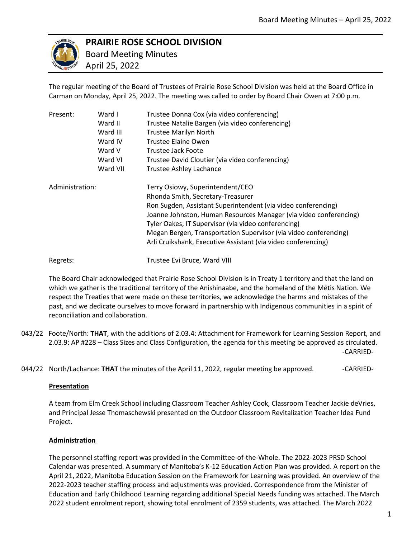

# **PRAIRIE ROSE SCHOOL DIVISION**

Regrets: Trustee Evi Bruce, Ward VIII

 Board Meeting Minutes April 25, 2022

The regular meeting of the Board of Trustees of Prairie Rose School Division was held at the Board Office in Carman on Monday, April 25, 2022. The meeting was called to order by Board Chair Owen at 7:00 p.m.

| Present:        | Ward I   | Trustee Donna Cox (via video conferencing)                        |
|-----------------|----------|-------------------------------------------------------------------|
|                 | Ward II  | Trustee Natalie Bargen (via video conferencing)                   |
|                 | Ward III | <b>Trustee Marilyn North</b>                                      |
|                 | Ward IV  | Trustee Elaine Owen                                               |
|                 | Ward V   | Trustee Jack Foote                                                |
|                 | Ward VI  | Trustee David Cloutier (via video conferencing)                   |
|                 | Ward VII | <b>Trustee Ashley Lachance</b>                                    |
| Administration: |          | Terry Osiowy, Superintendent/CEO                                  |
|                 |          | Rhonda Smith, Secretary-Treasurer                                 |
|                 |          | Ron Sugden, Assistant Superintendent (via video conferencing)     |
|                 |          | Joanne Johnston, Human Resources Manager (via video conferencing) |
|                 |          | Tyler Oakes, IT Supervisor (via video conferencing)               |
|                 |          | Megan Bergen, Transportation Supervisor (via video conferencing)  |
|                 |          | Arli Cruikshank, Executive Assistant (via video conferencing)     |
|                 |          |                                                                   |

The Board Chair acknowledged that Prairie Rose School Division is in Treaty 1 territory and that the land on which we gather is the traditional territory of the Anishinaabe, and the homeland of the Métis Nation. We respect the Treaties that were made on these territories, we acknowledge the harms and mistakes of the past, and we dedicate ourselves to move forward in partnership with Indigenous communities in a spirit of reconciliation and collaboration.

- 043/22 Foote/North: **THAT**, with the additions of 2.03.4: Attachment for Framework for Learning Session Report, and 2.03.9: AP #228 – Class Sizes and Class Configuration, the agenda for this meeting be approved as circulated. -CARRIED-
- 044/22 North/Lachance: **THAT** the minutes of the April 11, 2022, regular meeting be approved. CARRIED-

## **Presentation**

A team from Elm Creek School including Classroom Teacher Ashley Cook, Classroom Teacher Jackie deVries, and Principal Jesse Thomaschewski presented on the Outdoor Classroom Revitalization Teacher Idea Fund Project.

## **Administration**

The personnel staffing report was provided in the Committee-of-the-Whole. The 2022-2023 PRSD School Calendar was presented. A summary of Manitoba's K-12 Education Action Plan was provided. A report on the April 21, 2022, Manitoba Education Session on the Framework for Learning was provided. An overview of the 2022-2023 teacher staffing process and adjustments was provided. Correspondence from the Minister of Education and Early Childhood Learning regarding additional Special Needs funding was attached. The March 2022 student enrolment report, showing total enrolment of 2359 students, was attached. The March 2022